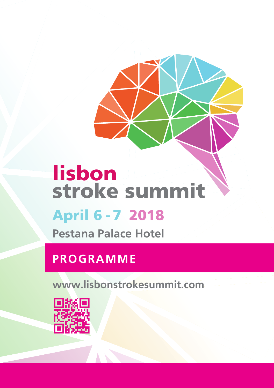# lisbon stroke summit April 6 - 7 2018

**Pestana Palace Hotel**

## **PROGRAMME**

**www.lisbonstrokesummit.com**

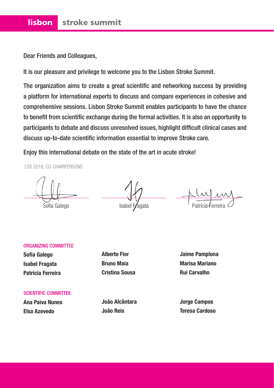Dear Friends and Colleagues,

It is our pleasure and privilege to welcome you to the Lisbon Stroke Summit.

The organization aims to create a great scientific and networking success by providing a platform for international experts to discuss and compare experiences in cohesive and comprehensive sessions. Lisbon Stroke Summit enables participants to have the chance to benefit from scientific exchange during the formal activities. It is also an opportunity to participants to debate and discuss unresolved issues, highlight difficult clinical cases and discuss up-to-date scientific information essential to improve Stroke care.

Enjoy this international debate on the state of the art in acute stroke!

LSS 2018, CO-CHAIRPERSONS

Sofia Galego **Isabel Fragata** 

#### ORGANIZING COMMITTEE

**Sofia Galego Isabel Fragata Patrícia Ferreira**

**Alberto Fior Bruno Maia Cristina Sousa**

**Jaime Pamplona Marisa Mariano Rui Carvalho**

SCIENTIFIC COMMITTEE

**Ana Paiva Nunes Elsa Azevedo**

**João Alcântara João Reis**

**Jorge Campos Teresa Cardoso**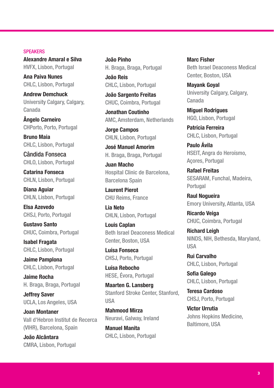#### **SPEAKERS**

**Alexandre Amaral e Silva** HVFX, Lisbon, Portugal

**Ana Paiva Nunes** CHLC, Lisbon, Portugal

**Andrew Demchuck** University Calgary, Calgary, Canada

**Ângelo Carneiro** CHPorto, Porto, Portugal

**Bruno Maia** CHLC, Lisbon, Portugal

Cândida Fonseca CHLO, Lisbon, Portugal

**Catarina Fonseca** CHLN, Lisbon, Portugal

**Diana Aguiar** CHLN, Lisbon, Portugal

**Elsa Azevedo** CHSJ, Porto, Portugal

**Gustavo Santo** CHUC, Coimbra, Portugal

**Isabel Fragata** CHLC, Lisbon, Portugal

**Jaime Pamplona** CHLC, Lisbon, Portugal

**Jaime Rocha** H. Braga, Braga, Portugal

**Jeffrey Saver** UCLA, Los Angeles, USA

**Joan Montaner** Vall d'Hebron Institut de Recerca (VIHR), Barcelona, Spain

**João Alcântara** CMRA, Lisbon, Portugal **João Pinho** H. Braga, Braga, Portugal

**João Reis** CHLC, Lisbon, Portugal

**João Sargento Freitas** CHUC, Coimbra, Portugal

**Jonathan Coutinho** AMC, Amsterdam, Netherlands

**Jorge Campos** CHLN, Lisbon, Portugal

**José Manuel Amorim** H. Braga, Braga, Portugal

**Juan Macho** Hospital Clinic de Barcelona, Barcelona Spain

**Laurent Pierot** CHU Reims, France

**Lia Neto** CHLN, Lisbon, Portugal

**Louis Caplan** Beth Israel Deaconess Medical Center, Boston, USA

**Luísa Fonseca** CHSJ, Porto, Portugal

**Luísa Rebocho** HESE, Évora, Portugal

**Maarten G. Lansberg** Stanford Stroke Center, Stanford, USA

**Mahmood Mirza** Neuravi, Galway, Ireland

**Manuel Manita** CHLC, Lisbon, Portugal **Marc Fisher** Beth Israel Deaconess Medical Center, Boston, USA

**Mayank Goyal** University Calgary, Calgary, Canada

**Miguel Rodrigues** HGO, Lisbon, Portugal

**Patrícia Ferreira** CHLC, Lisbon, Portugal

**Paulo Ávila** HSEIT, Angra do Heroísmo, Açores, Portugal

**Rafael Freitas** SESARAM, Funchal, Madeira, **Portugal** 

**Raul Nogueira** Emory University, Atlanta, USA

**Ricardo Veiga** CHUC, Coimbra, Portugal

**Richard Leigh** NINDS, NIH, Bethesda, Maryland, USA

**Rui Carvalho** CHLC, Lisbon, Portugal

**Sofia Galego** CHLC, Lisbon, Portugal

**Teresa Cardoso** CHSJ, Porto, Portugal

**Victor Urrutia** Johns Hopkins Medicine, Baltimore, USA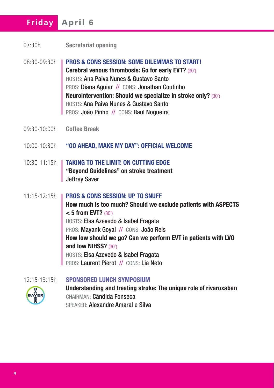## **Friday** April 6

- 07:30h **Secretariat opening**
- 08:30-09:30h **PROS & CONS SESSION: SOME DILEMMAS TO START! Cerebral venous thrombosis: Go for early EVT?** (30') HOSTS: Ana Paiva Nunes & Gustavo Santo PROS: Diana Aguiar // CONS: Jonathan Coutinho **Neurointervention: Should we specialize in stroke only?** (30') HOSTS: Ana Paiva Nunes & Gustavo Santo PROS: João Pinho // CONS: Raul Nogueira
- 09:30-10:00h **Coffee Break**
- 10:00-10:30h **"GO AHEAD, MAKE MY DAY": OFFICIAL WELCOME**
- 10:30-11:15h **TAKING TO THE LIMIT: ON CUTTING EDGE "Beyond Guidelines" on stroke treatment** Jeffrey Saver

11:15-12:15h **PROS & CONS SESSION: UP TO SNUFF How much is too much? Should we exclude patients with ASPECTS < 5 from EVT?** (30') HOSTS: Elsa Azevedo & Isabel Fragata PROS: Mayank Goyal // CONS: João Reis **How low should we go? Can we perform EVT in patients with LVO and low NIHSS?** (30') HOSTS: Elsa Azevedo & Isabel Fragata PROS: Laurent Pierot // CONS: Lia Neto

12:15-13:15h **SPONSORED LUNCH SYMPOSIUM**



**Understanding and treating stroke: The unique role of rivaroxaban** CHAIRMAN: Cândida Fonseca SPEAKER: Alexandre Amaral e Silva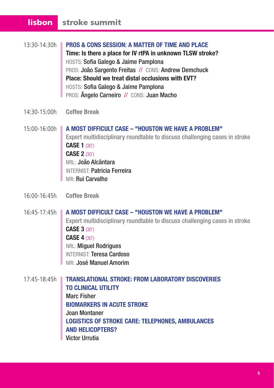#### lisbon stroke summit

- 13:30-14:30h **PROS & CONS SESSION: A MATTER OF TIME AND PLACE Time: Is there a place for IV rtPA in unknown TLSW stroke?** HOSTS: Sofia Galego & Jaime Pamplona PROS: João Sargento Freitas // CONS: Andrew Demchuck **Place: Should we treat distal occlusions with EVT?** HOSTS: Sofia Galego & Jaime Pamplona PROS: Ângelo Carneiro // CONS: Juan Macho
- 14:30-15:00h **Coffee Break**
- 15:00-16:00h **A MOST DIFFICULT CASE "HOUSTON WE HAVE A PROBLEM"** Expert multidisciplinary roundtable to discuss challenging cases in stroke **CASE 1** (30') **CASE 2** (30') NRL: João Alcântara INTERNIST: Patrícia Ferreira NRI: Rui Carvalho
- 16:00-16:45h **Coffee Break**
- 16:45-17:45h **A MOST DIFFICULT CASE "HOUSTON WE HAVE A PROBLEM"** Expert multidisciplinary roundtable to discuss challenging cases in stroke **CASE 3** (30') **CASE 4** (30') NRL: Miguel Rodrigues INTERNIST: Teresa Cardoso NRI: José Manuel Amorim
- 17:45-18:45h **TRANSLATIONAL STROKE: FROM LABORATORY DISCOVERIES TO CLINICAL UTILITY** Marc Fisher **BIOMARKERS IN ACUTE STROKE** Joan Montaner **LOGISTICS OF STROKE CARE: TELEPHONES, AMBULANCES AND HELICOPTERS?** Victor Urrutia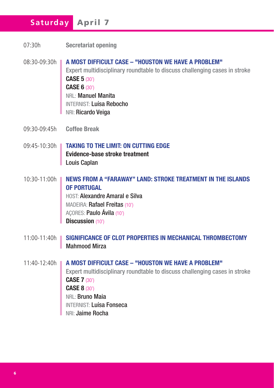## **Saturday** April 7

- 08:30-09:30h **A MOST DIFFICULT CASE "HOUSTON WE HAVE A PROBLEM"** Expert multidisciplinary roundtable to discuss challenging cases in stroke **CASE 5** (30') **CASE 6** (30') NRL: Manuel Manita INTERNIST: Luísa Rebocho NRI: Ricardo Veiga
- 09:30-09:45h **Coffee Break**
- 09:45-10:30h **TAKING TO THE LIMIT: ON CUTTING EDGE Evidence-base stroke treatment Louis Caplan**
- 10:30-11:00h **NEWS FROM A "FARAWAY" LAND: STROKE TREATMENT IN THE ISLANDS OF PORTUGAL** HOST: Alexandre Amaral e Silva MADEIRA: Rafael Freitas (10') AÇORES: Paulo Ávila (10')

**Discussion** (10')

- 11:00-11:40h **SIGNIFICANCE OF CLOT PROPERTIES IN MECHANICAL THROMBECTOMY Mahmood Mirza**
- 11:40-12:40h **A MOST DIFFICULT CASE "HOUSTON WE HAVE A PROBLEM"** Expert multidisciplinary roundtable to discuss challenging cases in stroke **CASE 7** (30') **CASE 8** (30') NRL: Bruno Maia INTERNIST: Luísa Fonseca NRI: Jaime Rocha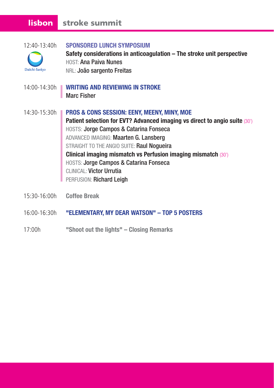## lisbon stroke summit

| $12:40-13:40h$<br>Daiichi-Sankyo | <b>SPONSORED LUNCH SYMPOSIUM</b><br>Safety considerations in anticoagulation - The stroke unit perspective<br>HOST: Ana Paiva Nunes<br>NRL: João sargento Freitas                                                                                                                                                                                                                                                                        |
|----------------------------------|------------------------------------------------------------------------------------------------------------------------------------------------------------------------------------------------------------------------------------------------------------------------------------------------------------------------------------------------------------------------------------------------------------------------------------------|
| 14:00-14:30h ■                   | <b>WRITING AND REVIEWING IN STROKE</b><br><b>Marc Fisher</b>                                                                                                                                                                                                                                                                                                                                                                             |
| 14:30-15:30h                     | <b>PROS &amp; CONS SESSION: EENY, MEENY, MINY, MOE</b><br>Patient selection for EVT? Advanced imaging vs direct to angio suite (30')<br>HOSTS: Jorge Campos & Catarina Fonseca<br>ADVANCED IMAGING: Maarten G. Lansberg<br>STRAIGHT TO THE ANGIO SUITE: Raul Nogueira<br>Clinical imaging mismatch vs Perfusion imaging mismatch (30')<br>HOSTS: Jorge Campos & Catarina Fonseca<br>CLINICAL: Victor Urrutia<br>PERFUSION: Richard Leigh |
| 15:30-16:00h                     | <b>Coffee Break</b>                                                                                                                                                                                                                                                                                                                                                                                                                      |
| 16:00-16:30h                     | "ELEMENTARY, MY DEAR WATSON" - TOP 5 POSTERS                                                                                                                                                                                                                                                                                                                                                                                             |

17:00h **"Shoot out the lights" – Closing Remarks**